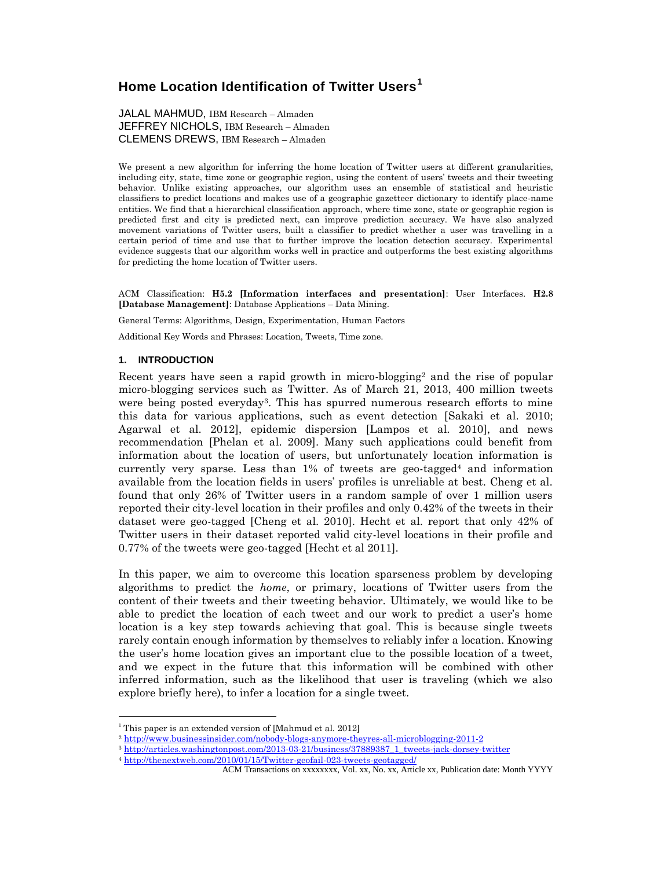# **Home Location Identification of Twitter Users<sup>1</sup>**

JALAL MAHMUD, IBM Research – Almaden JEFFREY NICHOLS, IBM Research – Almaden CLEMENS DREWS, IBM Research – Almaden

We present a new algorithm for inferring the home location of Twitter users at different granularities, including city, state, time zone or geographic region, using the content of users' tweets and their tweeting behavior. Unlike existing approaches, our algorithm uses an ensemble of statistical and heuristic classifiers to predict locations and makes use of a geographic gazetteer dictionary to identify place-name entities. We find that a hierarchical classification approach, where time zone, state or geographic region is predicted first and city is predicted next, can improve prediction accuracy. We have also analyzed movement variations of Twitter users, built a classifier to predict whether a user was travelling in a certain period of time and use that to further improve the location detection accuracy. Experimental evidence suggests that our algorithm works well in practice and outperforms the best existing algorithms for predicting the home location of Twitter users.

ACM Classification: **H5.2 [Information interfaces and presentation]**: User Interfaces. **H2.8 [Database Management]**: Database Applications – Data Mining.

General Terms: Algorithms, Design, Experimentation, Human Factors

Additional Key Words and Phrases: Location, Tweets, Time zone.

### **1. INTRODUCTION**

 $\overline{a}$ 

Recent years have seen a rapid growth in micro-blogging<sup>2</sup> and the rise of popular micro-blogging services such as Twitter. As of March 21, 2013, 400 million tweets were being posted everyday3. This has spurred numerous research efforts to mine this data for various applications, such as event detection [Sakaki et al. 2010; Agarwal et al. 2012], epidemic dispersion [Lampos et al. 2010], and news recommendation [Phelan et al. 2009]. Many such applications could benefit from information about the location of users, but unfortunately location information is currently very sparse. Less than  $1\%$  of tweets are geo-tagged<sup>4</sup> and information available from the location fields in users' profiles is unreliable at best. Cheng et al. found that only 26% of Twitter users in a random sample of over 1 million users reported their city-level location in their profiles and only 0.42% of the tweets in their dataset were geo-tagged [Cheng et al. 2010]. Hecht et al. report that only 42% of Twitter users in their dataset reported valid city-level locations in their profile and 0.77% of the tweets were geo-tagged [Hecht et al 2011].

In this paper, we aim to overcome this location sparseness problem by developing algorithms to predict the *home*, or primary, locations of Twitter users from the content of their tweets and their tweeting behavior. Ultimately, we would like to be able to predict the location of each tweet and our work to predict a user's home location is a key step towards achieving that goal. This is because single tweets rarely contain enough information by themselves to reliably infer a location. Knowing the user's home location gives an important clue to the possible location of a tweet, and we expect in the future that this information will be combined with other inferred information, such as the likelihood that user is traveling (which we also explore briefly here), to infer a location for a single tweet.

<sup>&</sup>lt;sup>1</sup> This paper is an extended version of [Mahmud et al. 2012]

<sup>2</sup> <http://www.businessinsider.com/nobody-blogs-anymore-theyres-all-microblogging-2011-2>

<sup>&</sup>lt;sup>3</sup> [http://articles.washingtonpost.com/2013-03-21/business/37889387\\_1\\_tweets-jack-dorsey-twitter](http://articles.washingtonpost.com/2013-03-21/business/37889387_1_tweets-jack-dorsey-twitter)

<sup>4</sup> [http://thenextweb.com/2010/01/15/Twitter-geofail-023-tweets-geotagged/](http://thenextweb.com/2010/01/15/twitter-geofail-023-tweets-geotagged/)

ACM Transactions on xxxxxxxx, Vol. xx, No. xx, Article xx, Publication date: Month YYYY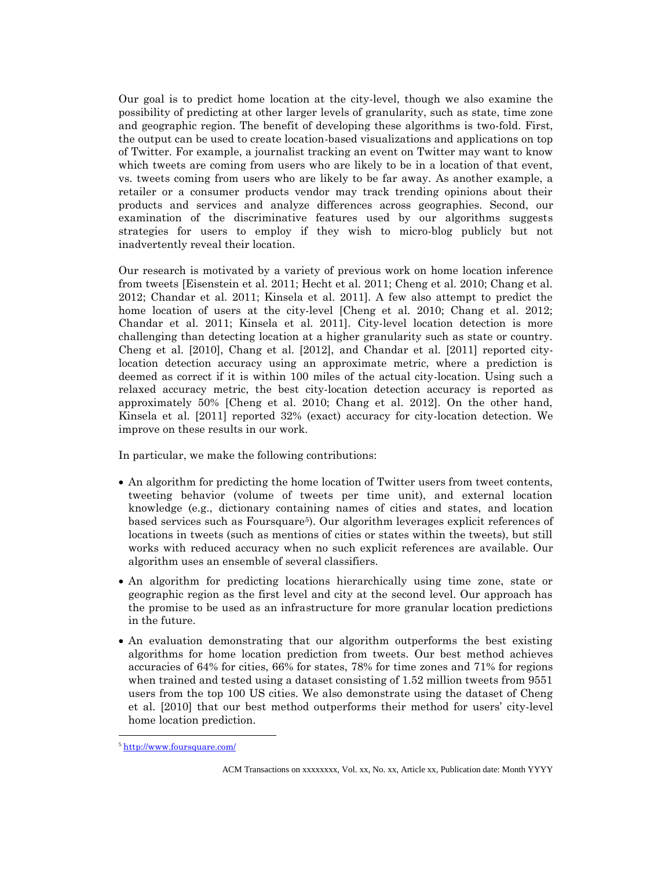Our goal is to predict home location at the city-level, though we also examine the possibility of predicting at other larger levels of granularity, such as state, time zone and geographic region. The benefit of developing these algorithms is two-fold. First, the output can be used to create location-based visualizations and applications on top of Twitter. For example, a journalist tracking an event on Twitter may want to know which tweets are coming from users who are likely to be in a location of that event, vs. tweets coming from users who are likely to be far away. As another example, a retailer or a consumer products vendor may track trending opinions about their products and services and analyze differences across geographies. Second, our examination of the discriminative features used by our algorithms suggests strategies for users to employ if they wish to micro-blog publicly but not inadvertently reveal their location.

Our research is motivated by a variety of previous work on home location inference from tweets [Eisenstein et al. 2011; Hecht et al. 2011; Cheng et al. 2010; Chang et al. 2012; Chandar et al. 2011; Kinsela et al. 2011]. A few also attempt to predict the home location of users at the city-level [Cheng et al. 2010; Chang et al. 2012; Chandar et al. 2011; Kinsela et al. 2011]. City-level location detection is more challenging than detecting location at a higher granularity such as state or country. Cheng et al. [2010], Chang et al. [2012], and Chandar et al. [2011] reported citylocation detection accuracy using an approximate metric, where a prediction is deemed as correct if it is within 100 miles of the actual city-location. Using such a relaxed accuracy metric, the best city-location detection accuracy is reported as approximately 50% [Cheng et al. 2010; Chang et al. 2012]. On the other hand, Kinsela et al. [2011] reported 32% (exact) accuracy for city-location detection. We improve on these results in our work.

In particular, we make the following contributions:

- An algorithm for predicting the home location of Twitter users from tweet contents, tweeting behavior (volume of tweets per time unit), and external location knowledge (e.g., dictionary containing names of cities and states, and location based services such as Foursquare<sup>5</sup>). Our algorithm leverages explicit references of locations in tweets (such as mentions of cities or states within the tweets), but still works with reduced accuracy when no such explicit references are available. Our algorithm uses an ensemble of several classifiers.
- An algorithm for predicting locations hierarchically using time zone, state or geographic region as the first level and city at the second level. Our approach has the promise to be used as an infrastructure for more granular location predictions in the future.
- An evaluation demonstrating that our algorithm outperforms the best existing algorithms for home location prediction from tweets. Our best method achieves accuracies of 64% for cities, 66% for states, 78% for time zones and 71% for regions when trained and tested using a dataset consisting of 1.52 million tweets from 9551 users from the top 100 US cities. We also demonstrate using the dataset of Cheng et al. [2010] that our best method outperforms their method for users' city-level home location prediction.

<sup>5</sup> <http://www.foursquare.com/>

ACM Transactions on xxxxxxxx, Vol. xx, No. xx, Article xx, Publication date: Month YYYY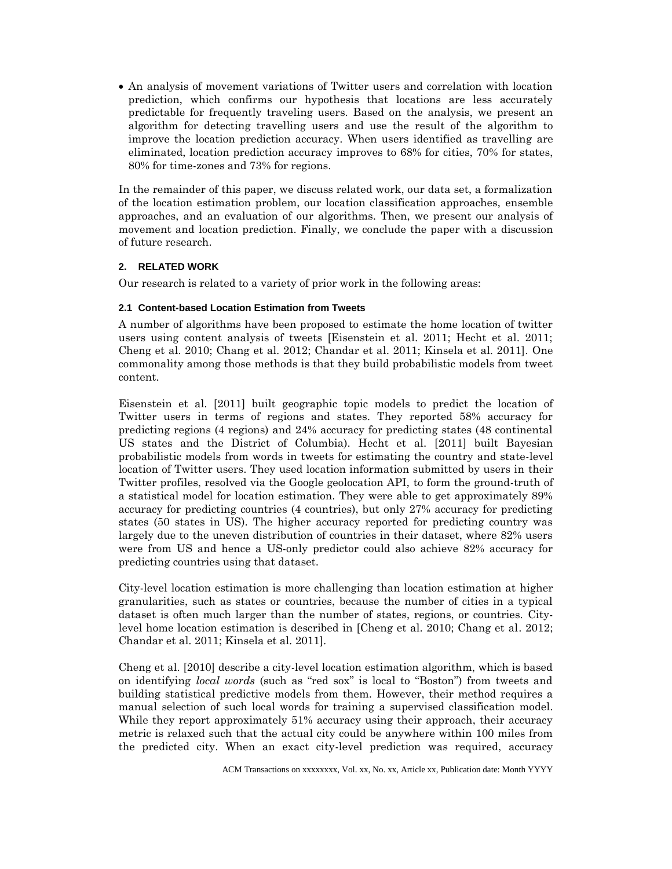An analysis of movement variations of Twitter users and correlation with location prediction, which confirms our hypothesis that locations are less accurately predictable for frequently traveling users. Based on the analysis, we present an algorithm for detecting travelling users and use the result of the algorithm to improve the location prediction accuracy. When users identified as travelling are eliminated, location prediction accuracy improves to 68% for cities, 70% for states, 80% for time-zones and 73% for regions.

In the remainder of this paper, we discuss related work, our data set, a formalization of the location estimation problem, our location classification approaches, ensemble approaches, and an evaluation of our algorithms. Then, we present our analysis of movement and location prediction. Finally, we conclude the paper with a discussion of future research.

# **2. RELATED WORK**

Our research is related to a variety of prior work in the following areas:

# **2.1 Content-based Location Estimation from Tweets**

A number of algorithms have been proposed to estimate the home location of twitter users using content analysis of tweets [Eisenstein et al. 2011; Hecht et al. 2011; Cheng et al. 2010; Chang et al. 2012; Chandar et al. 2011; Kinsela et al. 2011]. One commonality among those methods is that they build probabilistic models from tweet content.

Eisenstein et al. [2011] built geographic topic models to predict the location of Twitter users in terms of regions and states. They reported 58% accuracy for predicting regions (4 regions) and 24% accuracy for predicting states (48 continental US states and the District of Columbia). Hecht et al. [2011] built Bayesian probabilistic models from words in tweets for estimating the country and state-level location of Twitter users. They used location information submitted by users in their Twitter profiles, resolved via the Google geolocation API, to form the ground-truth of a statistical model for location estimation. They were able to get approximately 89% accuracy for predicting countries (4 countries), but only 27% accuracy for predicting states (50 states in US). The higher accuracy reported for predicting country was largely due to the uneven distribution of countries in their dataset, where 82% users were from US and hence a US-only predictor could also achieve 82% accuracy for predicting countries using that dataset.

City-level location estimation is more challenging than location estimation at higher granularities, such as states or countries, because the number of cities in a typical dataset is often much larger than the number of states, regions, or countries. Citylevel home location estimation is described in [Cheng et al. 2010; Chang et al. 2012; Chandar et al. 2011; Kinsela et al. 2011].

Cheng et al. [2010] describe a city-level location estimation algorithm, which is based on identifying *local words* (such as "red sox" is local to "Boston") from tweets and building statistical predictive models from them. However, their method requires a manual selection of such local words for training a supervised classification model. While they report approximately 51% accuracy using their approach, their accuracy metric is relaxed such that the actual city could be anywhere within 100 miles from the predicted city. When an exact city-level prediction was required, accuracy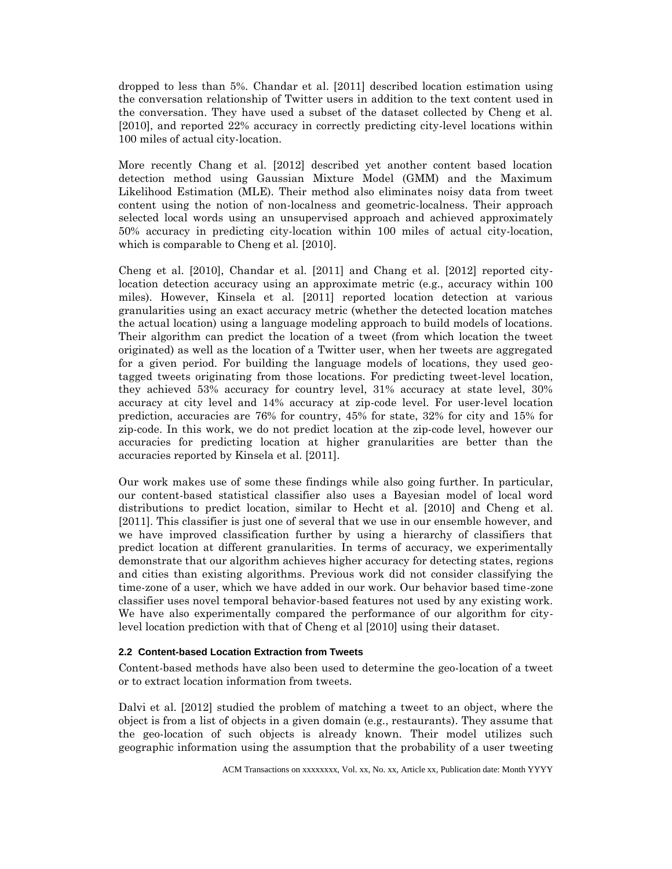dropped to less than 5%. Chandar et al. [2011] described location estimation using the conversation relationship of Twitter users in addition to the text content used in the conversation. They have used a subset of the dataset collected by Cheng et al. [2010], and reported 22% accuracy in correctly predicting city-level locations within 100 miles of actual city-location.

More recently Chang et al. [2012] described yet another content based location detection method using Gaussian Mixture Model (GMM) and the Maximum Likelihood Estimation (MLE). Their method also eliminates noisy data from tweet content using the notion of non-localness and geometric-localness. Their approach selected local words using an unsupervised approach and achieved approximately 50% accuracy in predicting city-location within 100 miles of actual city-location, which is comparable to Cheng et al. [2010].

Cheng et al. [2010], Chandar et al. [2011] and Chang et al. [2012] reported citylocation detection accuracy using an approximate metric (e.g., accuracy within 100 miles). However, Kinsela et al. [2011] reported location detection at various granularities using an exact accuracy metric (whether the detected location matches the actual location) using a language modeling approach to build models of locations. Their algorithm can predict the location of a tweet (from which location the tweet originated) as well as the location of a Twitter user, when her tweets are aggregated for a given period. For building the language models of locations, they used geotagged tweets originating from those locations. For predicting tweet-level location, they achieved 53% accuracy for country level, 31% accuracy at state level, 30% accuracy at city level and 14% accuracy at zip-code level. For user-level location prediction, accuracies are 76% for country, 45% for state, 32% for city and 15% for zip-code. In this work, we do not predict location at the zip-code level, however our accuracies for predicting location at higher granularities are better than the accuracies reported by Kinsela et al. [2011].

Our work makes use of some these findings while also going further. In particular, our content-based statistical classifier also uses a Bayesian model of local word distributions to predict location, similar to Hecht et al. [2010] and Cheng et al. [2011]. This classifier is just one of several that we use in our ensemble however, and we have improved classification further by using a hierarchy of classifiers that predict location at different granularities. In terms of accuracy, we experimentally demonstrate that our algorithm achieves higher accuracy for detecting states, regions and cities than existing algorithms. Previous work did not consider classifying the time-zone of a user, which we have added in our work. Our behavior based time-zone classifier uses novel temporal behavior-based features not used by any existing work. We have also experimentally compared the performance of our algorithm for citylevel location prediction with that of Cheng et al [2010] using their dataset.

### **2.2 Content-based Location Extraction from Tweets**

Content-based methods have also been used to determine the geo-location of a tweet or to extract location information from tweets.

Dalvi et al. [2012] studied the problem of matching a tweet to an object, where the object is from a list of objects in a given domain (e.g., restaurants). They assume that the geo-location of such objects is already known. Their model utilizes such geographic information using the assumption that the probability of a user tweeting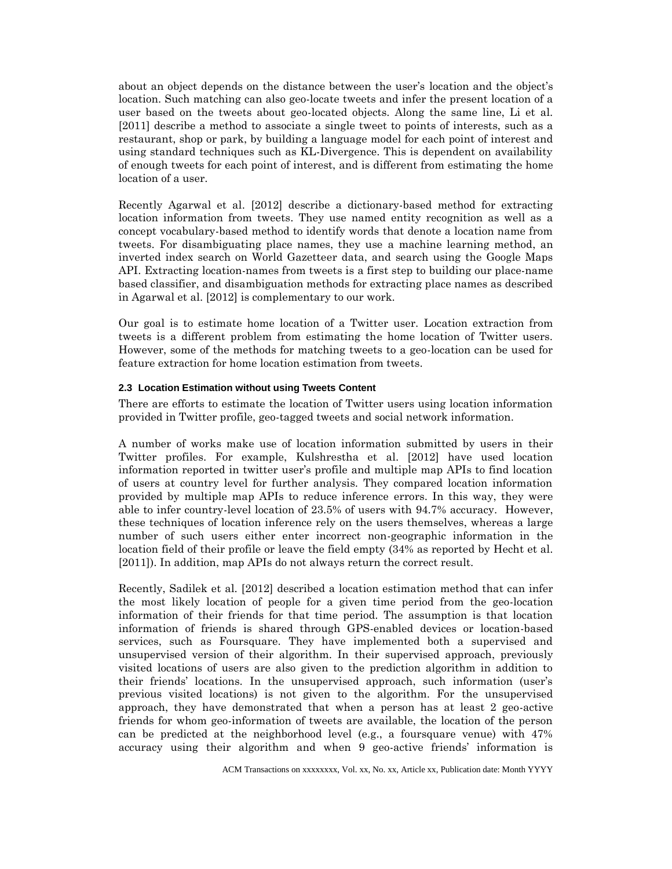about an object depends on the distance between the user's location and the object's location. Such matching can also geo-locate tweets and infer the present location of a user based on the tweets about geo-located objects. Along the same line, Li et al. [2011] describe a method to associate a single tweet to points of interests, such as a restaurant, shop or park, by building a language model for each point of interest and using standard techniques such as KL-Divergence. This is dependent on availability of enough tweets for each point of interest, and is different from estimating the home location of a user.

Recently Agarwal et al. [2012] describe a dictionary-based method for extracting location information from tweets. They use named entity recognition as well as a concept vocabulary-based method to identify words that denote a location name from tweets. For disambiguating place names, they use a machine learning method, an inverted index search on World Gazetteer data, and search using the Google Maps API. Extracting location-names from tweets is a first step to building our place-name based classifier, and disambiguation methods for extracting place names as described in Agarwal et al. [2012] is complementary to our work.

Our goal is to estimate home location of a Twitter user. Location extraction from tweets is a different problem from estimating the home location of Twitter users. However, some of the methods for matching tweets to a geo-location can be used for feature extraction for home location estimation from tweets.

### **2.3 Location Estimation without using Tweets Content**

There are efforts to estimate the location of Twitter users using location information provided in Twitter profile, geo-tagged tweets and social network information.

A number of works make use of location information submitted by users in their Twitter profiles. For example, Kulshrestha et al. [2012] have used location information reported in twitter user's profile and multiple map APIs to find location of users at country level for further analysis. They compared location information provided by multiple map APIs to reduce inference errors. In this way, they were able to infer country-level location of 23.5% of users with 94.7% accuracy. However, these techniques of location inference rely on the users themselves, whereas a large number of such users either enter incorrect non-geographic information in the location field of their profile or leave the field empty (34% as reported by Hecht et al. [2011]). In addition, map APIs do not always return the correct result.

Recently, Sadilek et al. [2012] described a location estimation method that can infer the most likely location of people for a given time period from the geo-location information of their friends for that time period. The assumption is that location information of friends is shared through GPS-enabled devices or location-based services, such as Foursquare. They have implemented both a supervised and unsupervised version of their algorithm. In their supervised approach, previously visited locations of users are also given to the prediction algorithm in addition to their friends' locations. In the unsupervised approach, such information (user's previous visited locations) is not given to the algorithm. For the unsupervised approach, they have demonstrated that when a person has at least 2 geo-active friends for whom geo-information of tweets are available, the location of the person can be predicted at the neighborhood level (e.g., a foursquare venue) with 47% accuracy using their algorithm and when 9 geo-active friends' information is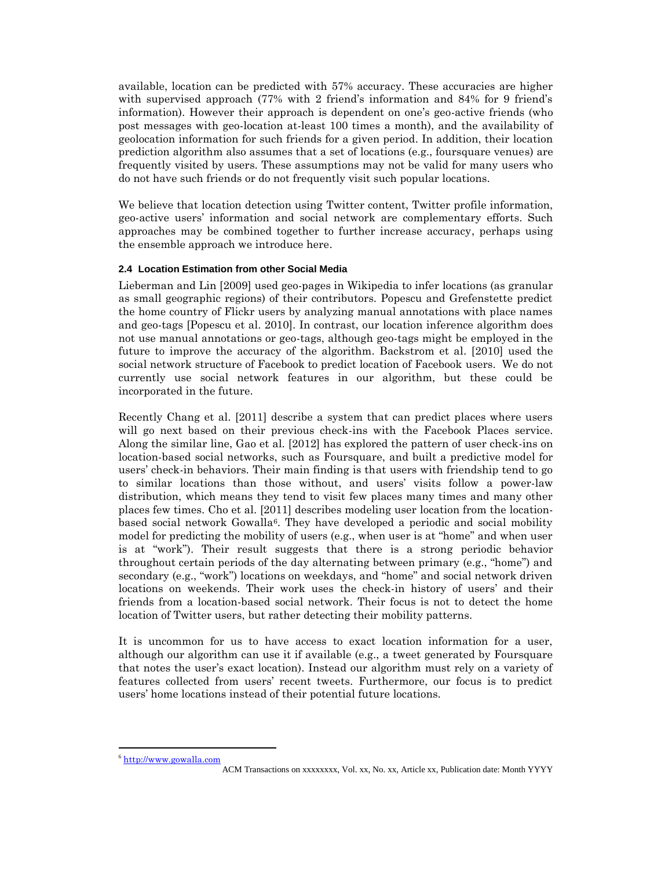available, location can be predicted with 57% accuracy. These accuracies are higher with supervised approach (77% with 2 friend's information and 84% for 9 friend's information). However their approach is dependent on one's geo-active friends (who post messages with geo-location at-least 100 times a month), and the availability of geolocation information for such friends for a given period. In addition, their location prediction algorithm also assumes that a set of locations (e.g., foursquare venues) are frequently visited by users. These assumptions may not be valid for many users who do not have such friends or do not frequently visit such popular locations.

We believe that location detection using Twitter content, Twitter profile information, geo-active users' information and social network are complementary efforts. Such approaches may be combined together to further increase accuracy, perhaps using the ensemble approach we introduce here.

# **2.4 Location Estimation from other Social Media**

Lieberman and Lin [2009] used geo-pages in Wikipedia to infer locations (as granular as small geographic regions) of their contributors. Popescu and Grefenstette predict the home country of Flickr users by analyzing manual annotations with place names and geo-tags [Popescu et al. 2010]. In contrast, our location inference algorithm does not use manual annotations or geo-tags, although geo-tags might be employed in the future to improve the accuracy of the algorithm. Backstrom et al. [2010] used the social network structure of Facebook to predict location of Facebook users. We do not currently use social network features in our algorithm, but these could be incorporated in the future.

Recently Chang et al. [2011] describe a system that can predict places where users will go next based on their previous check-ins with the Facebook Places service. Along the similar line, Gao et al. [2012] has explored the pattern of user check-ins on location-based social networks, such as Foursquare, and built a predictive model for users' check-in behaviors. Their main finding is that users with friendship tend to go to similar locations than those without, and users' visits follow a power-law distribution, which means they tend to visit few places many times and many other places few times. Cho et al. [2011] describes modeling user location from the locationbased social network Gowalla<sup>6</sup>. They have developed a periodic and social mobility model for predicting the mobility of users (e.g., when user is at "home" and when user is at "work"). Their result suggests that there is a strong periodic behavior throughout certain periods of the day alternating between primary (e.g., "home") and secondary (e.g., "work") locations on weekdays, and "home" and social network driven locations on weekends. Their work uses the check-in history of users' and their friends from a location-based social network. Their focus is not to detect the home location of Twitter users, but rather detecting their mobility patterns.

It is uncommon for us to have access to exact location information for a user, although our algorithm can use it if available (e.g., a tweet generated by Foursquare that notes the user's exact location). Instead our algorithm must rely on a variety of features collected from users' recent tweets. Furthermore, our focus is to predict users' home locations instead of their potential future locations.

 $\overline{a}$ <sup>6</sup> [http://www.gowalla.com](http://www.gowalla.com/)

ACM Transactions on xxxxxxxx, Vol. xx, No. xx, Article xx, Publication date: Month YYYY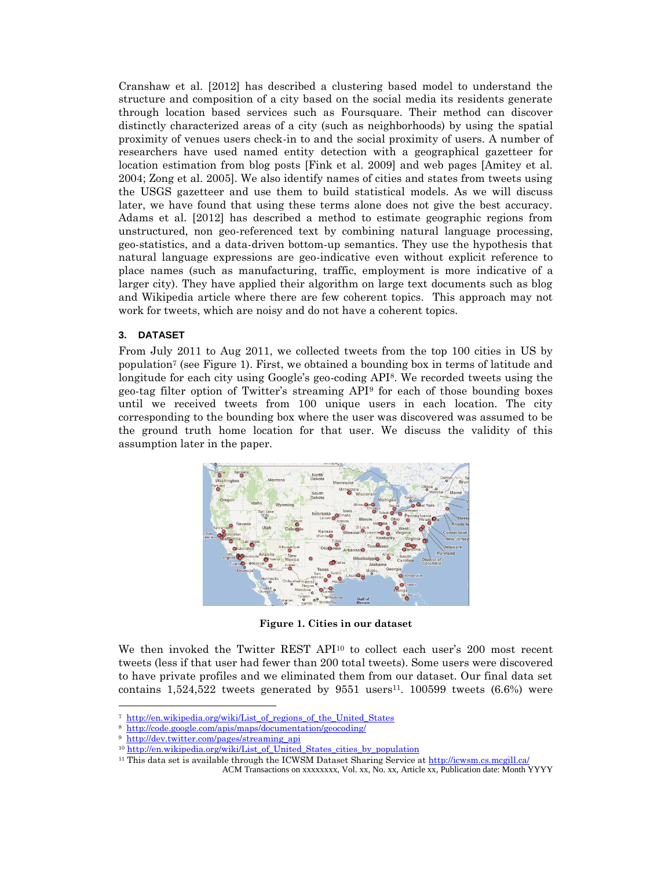Cranshaw et al. [2012] has described a clustering based model to understand the structure and composition of a city based on the social media its residents generate through location based services such as Foursquare. Their method can discover distinctly characterized areas of a city (such as neighborhoods) by using the spatial proximity of venues users check-in to and the social proximity of users. A number of researchers have used named entity detection with a geographical gazetteer for location estimation from blog posts [Fink et al. 2009] and web pages [Amitey et al. 2004; Zong et al. 2005]. We also identify names of cities and states from tweets using the USGS gazetteer and use them to build statistical models. As we will discuss later, we have found that using these terms alone does not give the best accuracy. Adams et al. [2012] has described a method to estimate geographic regions from unstructured, non geo-referenced text by combining natural language processing, geo-statistics, and a data-driven bottom-up semantics. They use the hypothesis that natural language expressions are geo-indicative even without explicit reference to place names (such as manufacturing, traffic, employment is more indicative of a larger city). They have applied their algorithm on large text documents such as blog and Wikipedia article where there are few coherent topics. This approach may not work for tweets, which are noisy and do not have a coherent topics.

### **3. DATASET**

From July 2011 to Aug 2011, we collected tweets from the top 100 cities in US by population<sup>7</sup> (see Figure 1). First, we obtained a bounding box in terms of latitude and longitude for each city using Google's geo-coding API8. We recorded tweets using the geo-tag filter option of Twitter's streaming API<sup>9</sup> for each of those bounding boxes until we received tweets from 100 unique users in each location. The city corresponding to the bounding box where the user was discovered was assumed to be the ground truth home location for that user. We discuss the validity of this assumption later in the paper.



**Figure 1. Cities in our dataset**

We then invoked the Twitter REST API<sup>10</sup> to collect each user's 200 most recent tweets (less if that user had fewer than 200 total tweets). Some users were discovered to have private profiles and we eliminated them from our dataset. Our final data set contains  $1,524,522$  tweets generated by 9551 users<sup>11</sup>. 100599 tweets  $(6.6%)$  were

<sup>&</sup>lt;sup>7</sup> [http://en.wikipedia.org/wiki/List\\_of\\_regions\\_of\\_the\\_United\\_States](http://en.wikipedia.org/wiki/List_of_regions_of_the_United_States)

<sup>8</sup> <http://code.google.com/apis/maps/documentation/geocoding/>

<sup>9</sup> [http://dev.twitter.com/pages/streaming\\_api](http://dev.twitter.com/pages/streaming_api)

<sup>&</sup>lt;sup>10</sup> [http://en.wikipedia.org/wiki/List\\_of\\_United\\_States\\_cities\\_by\\_population](http://en.wikipedia.org/wiki/List_of_United_States_cities_by_population)

<sup>11</sup> This data set is available through the ICWSM Dataset Sharing Service a[t http://icwsm.cs.mcgill.ca/](http://icwsm.cs.mcgill.ca/)

ACM Transactions on xxxxxxxx, Vol. xx, No. xx, Article xx, Publication date: Month YYYY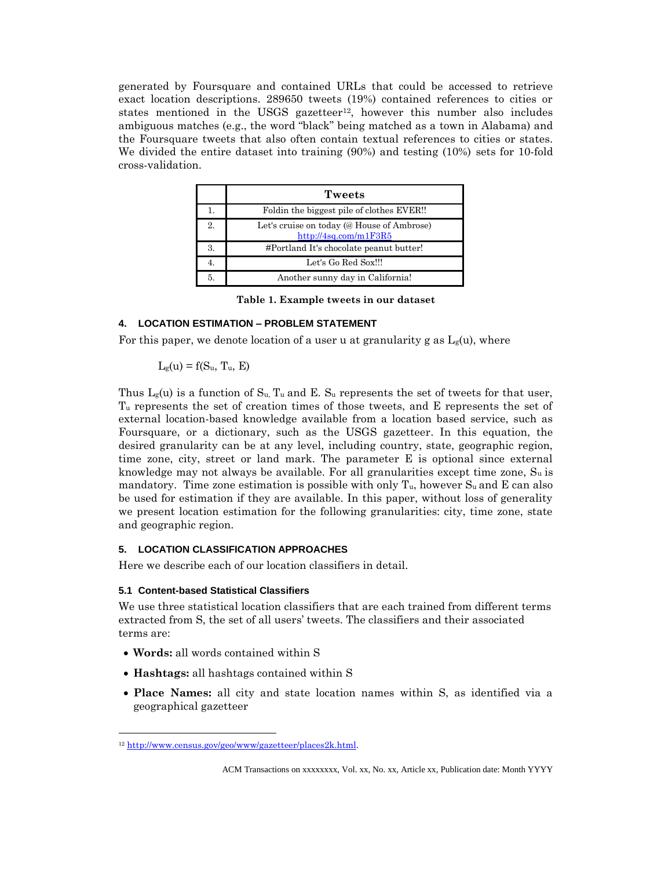generated by Foursquare and contained URLs that could be accessed to retrieve exact location descriptions. 289650 tweets (19%) contained references to cities or states mentioned in the USGS gazetteer<sup>12</sup>, however this number also includes ambiguous matches (e.g., the word "black" being matched as a town in Alabama) and the Foursquare tweets that also often contain textual references to cities or states. We divided the entire dataset into training (90%) and testing (10%) sets for 10-fold cross-validation.

|    | Tweets                                                              |
|----|---------------------------------------------------------------------|
|    | Foldin the biggest pile of clothes EVER!!                           |
| 2. | Let's cruise on today (@ House of Ambrose)<br>http://4sq.com/m1F3R5 |
| 3. | #Portland It's chocolate peanut butter!                             |
|    | Let's Go Red Sox!!!                                                 |
| 5. | Another sunny day in California!                                    |

**Table 1. Example tweets in our dataset**

# <span id="page-7-0"></span>**4. LOCATION ESTIMATION – PROBLEM STATEMENT**

For this paper, we denote location of a user u at granularity g as  $L_g(u)$ , where

$$
L_g(u) = f(S_u, T_u, E)
$$

Thus  $L_g(u)$  is a function of  $S_u$ ,  $T_u$  and E.  $S_u$  represents the set of tweets for that user, T<sup>u</sup> represents the set of creation times of those tweets, and E represents the set of external location-based knowledge available from a location based service, such as Foursquare, or a dictionary, such as the USGS gazetteer. In this equation, the desired granularity can be at any level, including country, state, geographic region, time zone, city, street or land mark. The parameter E is optional since external knowledge may not always be available. For all granularities except time zone,  $S_u$  is mandatory. Time zone estimation is possible with only  $T_u$ , however  $S_u$  and E can also be used for estimation if they are available. In this paper, without loss of generality we present location estimation for the following granularities: city, time zone, state and geographic region.

# **5. LOCATION CLASSIFICATION APPROACHES**

Here we describe each of our location classifiers in detail.

### **5.1 Content-based Statistical Classifiers**

We use three statistical location classifiers that are each trained from different terms extracted from S, the set of all users' tweets. The classifiers and their associated terms are:

**Words:** all words contained within S

- **Hashtags:** all hashtags contained within S
- **Place Names:** all city and state location names within S, as identified via a geographical gazetteer

<sup>12</sup> [http://www.census.gov/geo/www/gazetteer/places2k.html.](http://www.census.gov/geo/www/gazetteer/places2k.html)

ACM Transactions on xxxxxxxx, Vol. xx, No. xx, Article xx, Publication date: Month YYYY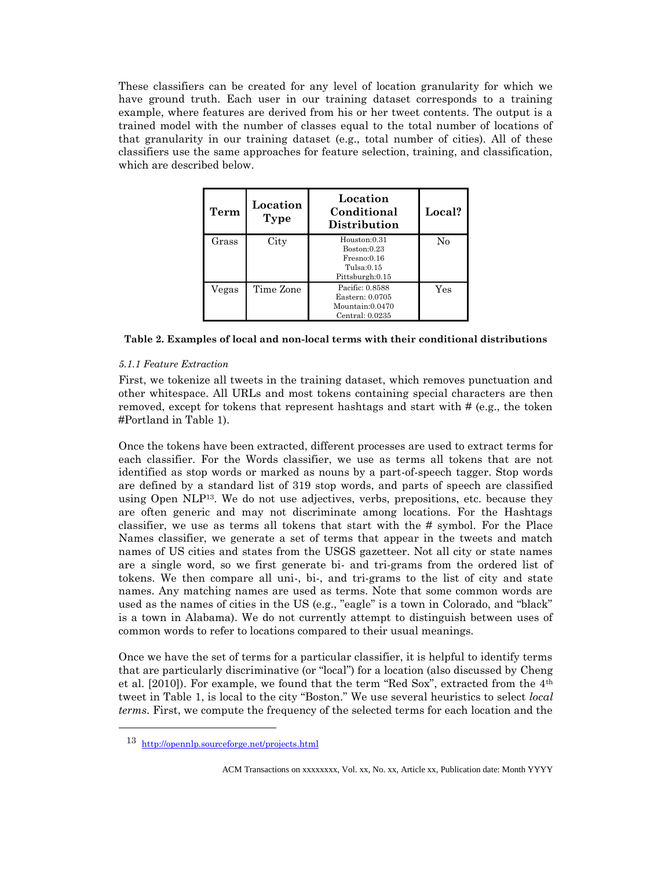These classifiers can be created for any level of location granularity for which we have ground truth. Each user in our training dataset corresponds to a training example, where features are derived from his or her tweet contents. The output is a trained model with the number of classes equal to the total number of locations of that granularity in our training dataset (e.g., total number of cities). All of these classifiers use the same approaches for feature selection, training, and classification, which are described below.

| Term  | Location<br>Type | Location<br>Conditional<br>Distribution                                     | Local? |
|-------|------------------|-----------------------------------------------------------------------------|--------|
| Grass | City             | Houston:0.31<br>Boston:0.23<br>Fresno:0.16<br>Tulsa:0.15<br>Pittsburgh:0.15 | No     |
| Vegas | Time Zone        | Pacific: 0.8588<br>Eastern: 0.0705<br>Mountain:0.0470<br>Central: $0.0235$  | Yes    |

### **Table 2. Examples of local and non-local terms with their conditional distributions**

### *5.1.1 Feature Extraction*

First, we tokenize all tweets in the training dataset, which removes punctuation and other whitespace. All URLs and most tokens containing special characters are then removed, except for tokens that represent hashtags and start with # (e.g., the token #Portland in [Table 1\)](#page-7-0).

Once the tokens have been extracted, different processes are used to extract terms for each classifier. For the Words classifier, we use as terms all tokens that are not identified as stop words or marked as nouns by a part-of-speech tagger. Stop words are defined by a standard list of 319 stop words, and parts of speech are classified using Open NLP13. We do not use adjectives, verbs, prepositions, etc. because they are often generic and may not discriminate among locations. For the Hashtags classifier, we use as terms all tokens that start with the # symbol. For the Place Names classifier, we generate a set of terms that appear in the tweets and match names of US cities and states from the USGS gazetteer. Not all city or state names are a single word, so we first generate bi- and tri-grams from the ordered list of tokens. We then compare all uni-, bi-, and tri-grams to the list of city and state names. Any matching names are used as terms. Note that some common words are used as the names of cities in the US (e.g., "eagle" is a town in Colorado, and "black" is a town in Alabama). We do not currently attempt to distinguish between uses of common words to refer to locations compared to their usual meanings.

Once we have the set of terms for a particular classifier, it is helpful to identify terms that are particularly discriminative (or "local") for a location (also discussed by Cheng et al. [2010]). For example, we found that the term "Red Sox", extracted from the 4th tweet in [Table 1](#page-7-0), is local to the city "Boston." We use several heuristics to select *local terms*. First, we compute the frequency of the selected terms for each location and the

<sup>13</sup> <http://opennlp.sourceforge.net/projects.html>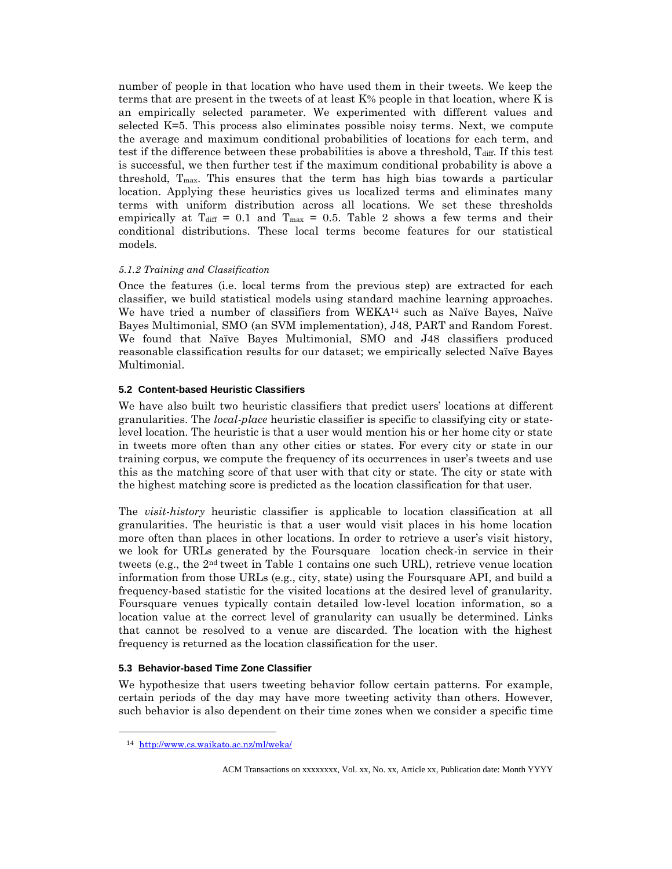number of people in that location who have used them in their tweets. We keep the terms that are present in the tweets of at least K% people in that location, where K is an empirically selected parameter. We experimented with different values and selected K=5. This process also eliminates possible noisy terms. Next, we compute the average and maximum conditional probabilities of locations for each term, and test if the difference between these probabilities is above a threshold,  $T_{diff}$ . If this test is successful, we then further test if the maximum conditional probability is above a threshold, Tmax. This ensures that the term has high bias towards a particular location. Applying these heuristics gives us localized terms and eliminates many terms with uniform distribution across all locations. We set these thresholds empirically at T<sub>diff</sub> = 0.1 and T<sub>max</sub> = 0.5. Table 2 shows a few terms and their conditional distributions. These local terms become features for our statistical models.

### *5.1.2 Training and Classification*

Once the features (i.e. local terms from the previous step) are extracted for each classifier, we build statistical models using standard machine learning approaches. We have tried a number of classifiers from WEKA<sup>14</sup> such as Naïve Bayes, Naïve Bayes Multimonial, SMO (an SVM implementation), J48, PART and Random Forest. We found that Naïve Bayes Multimonial, SMO and J48 classifiers produced reasonable classification results for our dataset; we empirically selected Naïve Bayes Multimonial.

### **5.2 Content-based Heuristic Classifiers**

We have also built two heuristic classifiers that predict users' locations at different granularities. The *local-place* heuristic classifier is specific to classifying city or statelevel location. The heuristic is that a user would mention his or her home city or state in tweets more often than any other cities or states. For every city or state in our training corpus, we compute the frequency of its occurrences in user's tweets and use this as the matching score of that user with that city or state. The city or state with the highest matching score is predicted as the location classification for that user.

The *visit-history* heuristic classifier is applicable to location classification at all granularities. The heuristic is that a user would visit places in his home location more often than places in other locations. In order to retrieve a user's visit history, we look for URLs generated by the Foursquare location check-in service in their tweets (e.g., the 2nd tweet in [Table 1](#page-7-0) contains one such URL), retrieve venue location information from those URLs (e.g., city, state) using the Foursquare API, and build a frequency-based statistic for the visited locations at the desired level of granularity. Foursquare venues typically contain detailed low-level location information, so a location value at the correct level of granularity can usually be determined. Links that cannot be resolved to a venue are discarded. The location with the highest frequency is returned as the location classification for the user.

### **5.3 Behavior-based Time Zone Classifier**

We hypothesize that users tweeting behavior follow certain patterns. For example, certain periods of the day may have more tweeting activity than others. However, such behavior is also dependent on their time zones when we consider a specific time

<sup>14</sup> <http://www.cs.waikato.ac.nz/ml/weka/>

ACM Transactions on xxxxxxxx, Vol. xx, No. xx, Article xx, Publication date: Month YYYY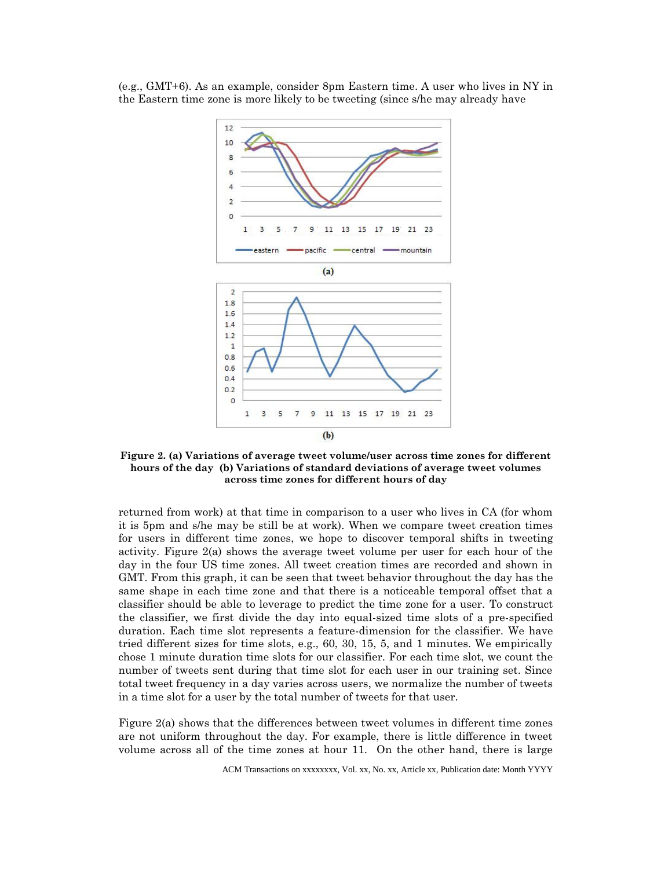(e.g., GMT+6). As an example, consider 8pm Eastern time. A user who lives in NY in the Eastern time zone is more likely to be tweeting (since s/he may already have



**Figure 2. (a) Variations of average tweet volume/user across time zones for different hours of the day (b) Variations of standard deviations of average tweet volumes across time zones for different hours of day**

returned from work) at that time in comparison to a user who lives in CA (for whom it is 5pm and s/he may be still be at work). When we compare tweet creation times for users in different time zones, we hope to discover temporal shifts in tweeting activity. Figure 2(a) shows the average tweet volume per user for each hour of the day in the four US time zones. All tweet creation times are recorded and shown in GMT. From this graph, it can be seen that tweet behavior throughout the day has the same shape in each time zone and that there is a noticeable temporal offset that a classifier should be able to leverage to predict the time zone for a user. To construct the classifier, we first divide the day into equal-sized time slots of a pre-specified duration. Each time slot represents a feature-dimension for the classifier. We have tried different sizes for time slots, e.g., 60, 30, 15, 5, and 1 minutes. We empirically chose 1 minute duration time slots for our classifier. For each time slot, we count the number of tweets sent during that time slot for each user in our training set. Since total tweet frequency in a day varies across users, we normalize the number of tweets in a time slot for a user by the total number of tweets for that user.

Figure 2(a) shows that the differences between tweet volumes in different time zones are not uniform throughout the day. For example, there is little difference in tweet volume across all of the time zones at hour 11. On the other hand, there is large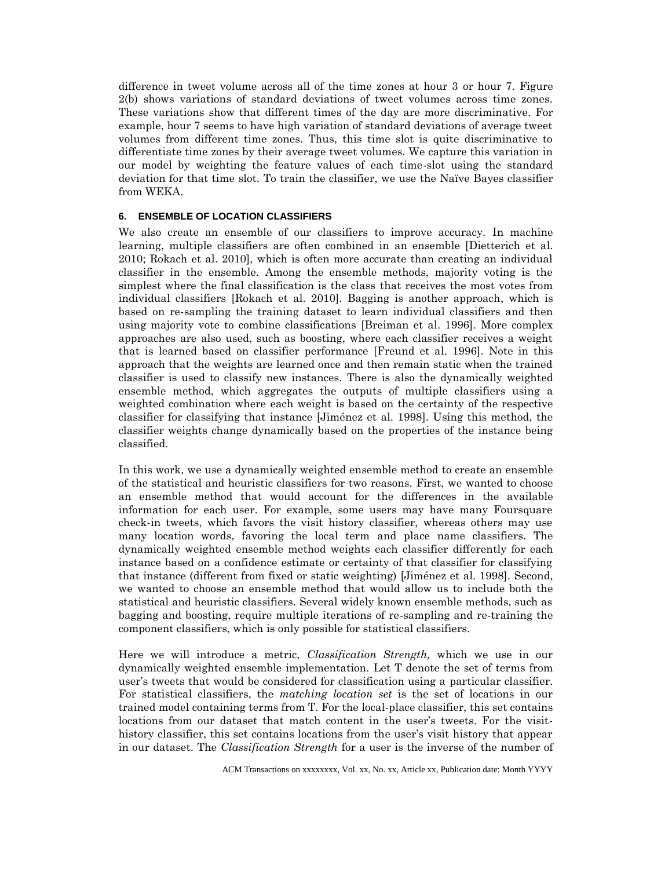difference in tweet volume across all of the time zones at hour 3 or hour 7. Figure 2(b) shows variations of standard deviations of tweet volumes across time zones. These variations show that different times of the day are more discriminative. For example, hour 7 seems to have high variation of standard deviations of average tweet volumes from different time zones. Thus, this time slot is quite discriminative to differentiate time zones by their average tweet volumes. We capture this variation in our model by weighting the feature values of each time-slot using the standard deviation for that time slot. To train the classifier, we use the Naïve Bayes classifier from WEKA.

## **6. ENSEMBLE OF LOCATION CLASSIFIERS**

We also create an ensemble of our classifiers to improve accuracy. In machine learning, multiple classifiers are often combined in an ensemble [Dietterich et al. 2010; Rokach et al. 2010], which is often more accurate than creating an individual classifier in the ensemble. Among the ensemble methods, majority voting is the simplest where the final classification is the class that receives the most votes from individual classifiers [Rokach et al. 2010]. Bagging is another approach, which is based on re-sampling the training dataset to learn individual classifiers and then using majority vote to combine classifications [Breiman et al. 1996]. More complex approaches are also used, such as boosting, where each classifier receives a weight that is learned based on classifier performance [Freund et al. 1996]. Note in this approach that the weights are learned once and then remain static when the trained classifier is used to classify new instances. There is also the dynamically weighted ensemble method, which aggregates the outputs of multiple classifiers using a weighted combination where each weight is based on the certainty of the respective classifier for classifying that instance [Jiménez et al. 1998]. Using this method, the classifier weights change dynamically based on the properties of the instance being classified.

In this work, we use a dynamically weighted ensemble method to create an ensemble of the statistical and heuristic classifiers for two reasons. First, we wanted to choose an ensemble method that would account for the differences in the available information for each user. For example, some users may have many Foursquare check-in tweets, which favors the visit history classifier, whereas others may use many location words, favoring the local term and place name classifiers. The dynamically weighted ensemble method weights each classifier differently for each instance based on a confidence estimate or certainty of that classifier for classifying that instance (different from fixed or static weighting) [Jiménez et al. 1998]. Second, we wanted to choose an ensemble method that would allow us to include both the statistical and heuristic classifiers. Several widely known ensemble methods, such as bagging and boosting, require multiple iterations of re-sampling and re-training the component classifiers, which is only possible for statistical classifiers.

Here we will introduce a metric, *Classification Strength,* which we use in our dynamically weighted ensemble implementation. Let T denote the set of terms from user's tweets that would be considered for classification using a particular classifier. For statistical classifiers, the *matching location set* is the set of locations in our trained model containing terms from T. For the local-place classifier, this set contains locations from our dataset that match content in the user's tweets. For the visithistory classifier, this set contains locations from the user's visit history that appear in our dataset. The *Classification Strength* for a user is the inverse of the number of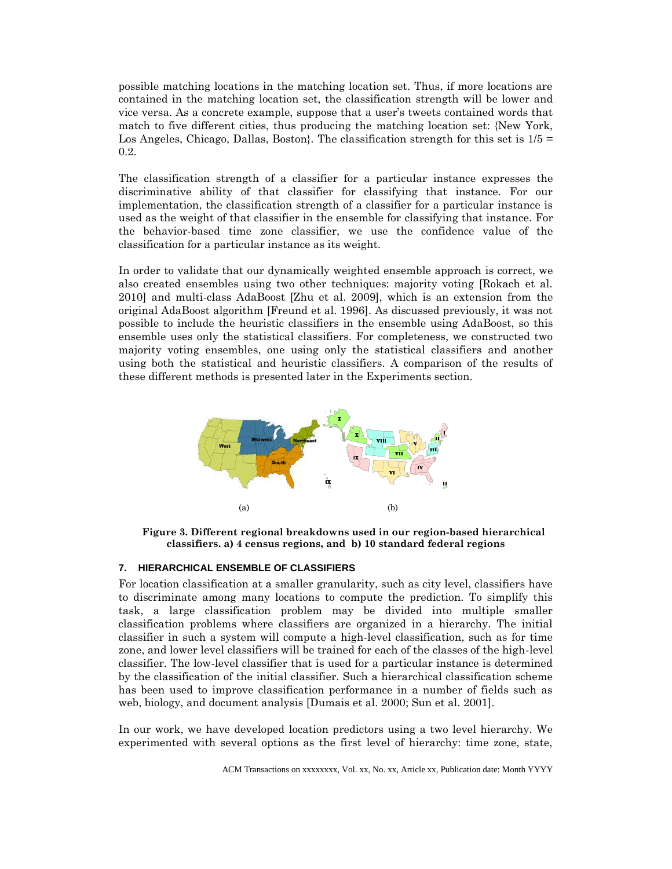possible matching locations in the matching location set. Thus, if more locations are contained in the matching location set, the classification strength will be lower and vice versa. As a concrete example, suppose that a user's tweets contained words that match to five different cities, thus producing the matching location set: {New York, Los Angeles, Chicago, Dallas, Boston}. The classification strength for this set is  $1/5 =$ 0.2.

The classification strength of a classifier for a particular instance expresses the discriminative ability of that classifier for classifying that instance. For our implementation, the classification strength of a classifier for a particular instance is used as the weight of that classifier in the ensemble for classifying that instance. For the behavior-based time zone classifier, we use the confidence value of the classification for a particular instance as its weight.

In order to validate that our dynamically weighted ensemble approach is correct, we also created ensembles using two other techniques: majority voting [Rokach et al. 2010] and multi-class AdaBoost [Zhu et al. 2009], which is an extension from the original AdaBoost algorithm [Freund et al. 1996]. As discussed previously, it was not possible to include the heuristic classifiers in the ensemble using AdaBoost, so this ensemble uses only the statistical classifiers. For completeness, we constructed two majority voting ensembles, one using only the statistical classifiers and another using both the statistical and heuristic classifiers. A comparison of the results of these different methods is presented later in the Experiments section.



**Figure 3. Different regional breakdowns used in our region-based hierarchical classifiers. a) 4 census regions, and b) 10 standard federal regions**

#### **7. HIERARCHICAL ENSEMBLE OF CLASSIFIERS**

For location classification at a smaller granularity, such as city level, classifiers have to discriminate among many locations to compute the prediction. To simplify this task, a large classification problem may be divided into multiple smaller classification problems where classifiers are organized in a hierarchy. The initial classifier in such a system will compute a high-level classification, such as for time zone, and lower level classifiers will be trained for each of the classes of the high-level classifier. The low-level classifier that is used for a particular instance is determined by the classification of the initial classifier. Such a hierarchical classification scheme has been used to improve classification performance in a number of fields such as web, biology, and document analysis [Dumais et al. 2000; Sun et al. 2001].

In our work, we have developed location predictors using a two level hierarchy. We experimented with several options as the first level of hierarchy: time zone, state,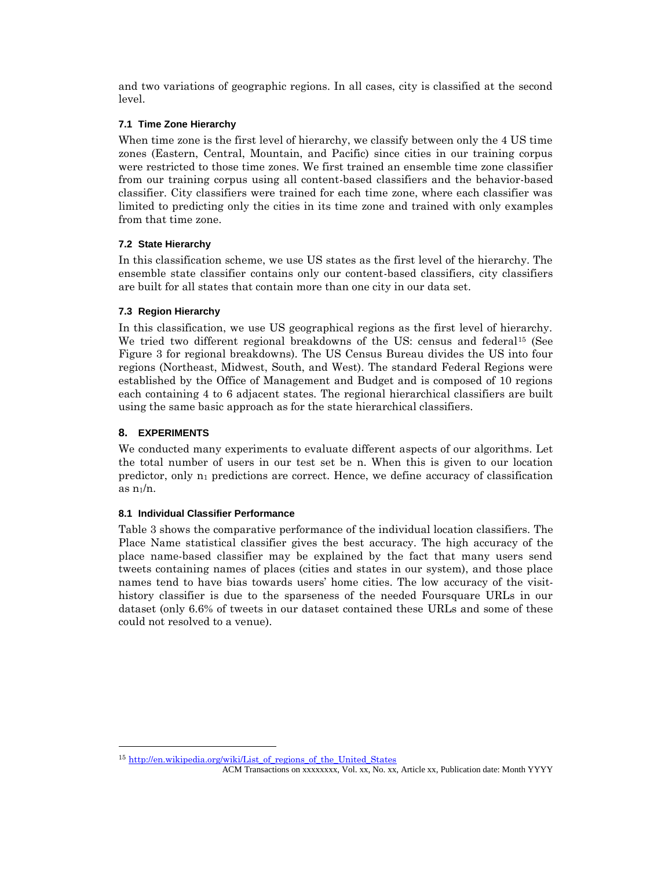and two variations of geographic regions. In all cases, city is classified at the second level.

# **7.1 Time Zone Hierarchy**

When time zone is the first level of hierarchy, we classify between only the 4 US time zones (Eastern, Central, Mountain, and Pacific) since cities in our training corpus were restricted to those time zones. We first trained an ensemble time zone classifier from our training corpus using all content-based classifiers and the behavior-based classifier. City classifiers were trained for each time zone, where each classifier was limited to predicting only the cities in its time zone and trained with only examples from that time zone.

# **7.2 State Hierarchy**

In this classification scheme, we use US states as the first level of the hierarchy. The ensemble state classifier contains only our content-based classifiers, city classifiers are built for all states that contain more than one city in our data set.

# **7.3 Region Hierarchy**

In this classification, we use US geographical regions as the first level of hierarchy. We tried two different regional breakdowns of the US: census and federal<sup>15</sup> (See Figure 3 for regional breakdowns). The US Census Bureau divides the US into four regions (Northeast, Midwest, South, and West). The standard Federal Regions were established by the Office of Management and Budget and is composed of 10 regions each containing 4 to 6 adjacent states. The regional hierarchical classifiers are built using the same basic approach as for the state hierarchical classifiers.

# **8. EXPERIMENTS**

 $\overline{a}$ 

We conducted many experiments to evaluate different aspects of our algorithms. Let the total number of users in our test set be n. When this is given to our location predictor, only  $n_1$  predictions are correct. Hence, we define accuracy of classification as  $n_1/n$ .

# **8.1 Individual Classifier Performance**

[Table 3](#page-14-0) shows the comparative performance of the individual location classifiers. The Place Name statistical classifier gives the best accuracy. The high accuracy of the place name-based classifier may be explained by the fact that many users send tweets containing names of places (cities and states in our system), and those place names tend to have bias towards users' home cities. The low accuracy of the visithistory classifier is due to the sparseness of the needed Foursquare URLs in our dataset (only 6.6% of tweets in our dataset contained these URLs and some of these could not resolved to a venue).

<sup>15</sup> [http://en.wikipedia.org/wiki/List\\_of\\_regions\\_of\\_the\\_United\\_States](http://en.wikipedia.org/wiki/List_of_regions_of_the_United_States)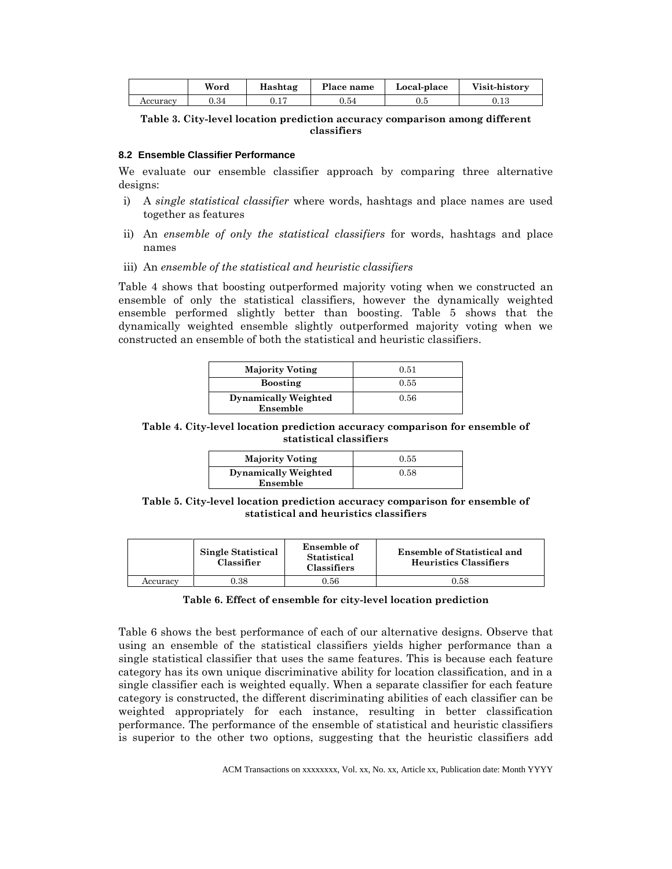|          | $\overline{111}$<br>Word | Hashtag | Place name | Local-place | Visit-history |
|----------|--------------------------|---------|------------|-------------|---------------|
| Accuracy | $\rm 0.34$               | v. r    | $\rm 0.54$ | υ.υ         | U. LJ         |

<span id="page-14-0"></span>**Table 3. City-level location prediction accuracy comparison among different classifiers**

#### **8.2 Ensemble Classifier Performance**

We evaluate our ensemble classifier approach by comparing three alternative designs:

- i) A *single statistical classifier* where words, hashtags and place names are used together as features
- ii) An *ensemble of only the statistical classifiers* for words, hashtags and place names
- iii) An *ensemble of the statistical and heuristic classifiers*

Table 4 shows that boosting outperformed majority voting when we constructed an ensemble of only the statistical classifiers, however the dynamically weighted ensemble performed slightly better than boosting. Table 5 shows that the dynamically weighted ensemble slightly outperformed majority voting when we constructed an ensemble of both the statistical and heuristic classifiers.

| <b>Majority Voting</b>      | 0.51 |
|-----------------------------|------|
| <b>Boosting</b>             | 0.55 |
| <b>Dynamically Weighted</b> | 0.56 |
| Ensemble                    |      |

**Table 4. City-level location prediction accuracy comparison for ensemble of statistical classifiers**

| <b>Majority Voting</b>      | 0.55 |
|-----------------------------|------|
| <b>Dynamically Weighted</b> | 0.58 |
| Ensemble                    |      |

**Table 5. City-level location prediction accuracy comparison for ensemble of statistical and heuristics classifiers**

|          | Single Statistical<br>Classifier | Ensemble of<br>Statistical<br><b>Classifiers</b> | <b>Ensemble of Statistical and</b><br><b>Heuristics Classifiers</b> |
|----------|----------------------------------|--------------------------------------------------|---------------------------------------------------------------------|
| Accuracv | ).38                             | 0.56                                             | $_{0.58}$                                                           |

#### **Table 6. Effect of ensemble for city-level location prediction**

Table 6 shows the best performance of each of our alternative designs. Observe that using an ensemble of the statistical classifiers yields higher performance than a single statistical classifier that uses the same features. This is because each feature category has its own unique discriminative ability for location classification, and in a single classifier each is weighted equally. When a separate classifier for each feature category is constructed, the different discriminating abilities of each classifier can be weighted appropriately for each instance, resulting in better classification performance. The performance of the ensemble of statistical and heuristic classifiers is superior to the other two options, suggesting that the heuristic classifiers add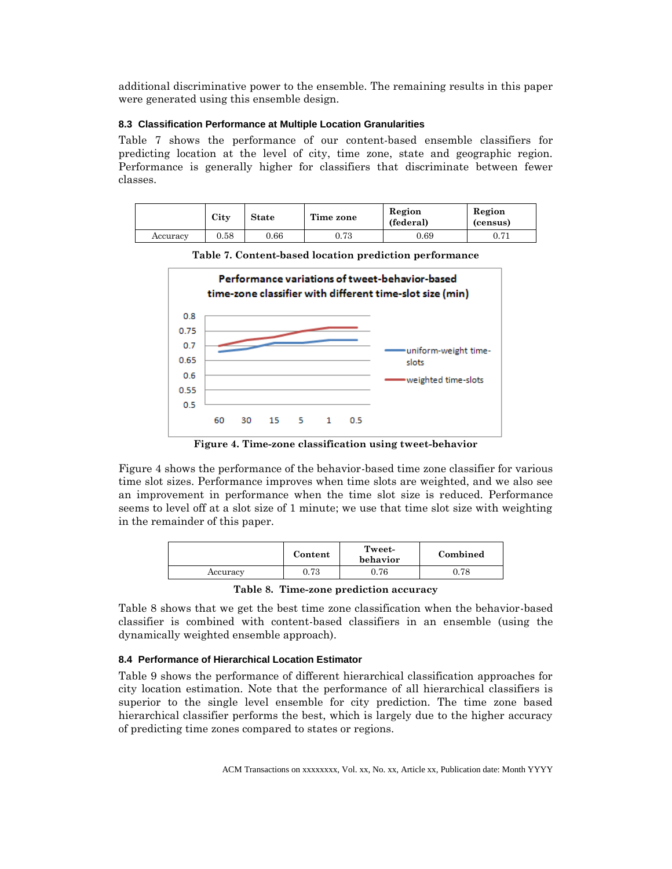additional discriminative power to the ensemble. The remaining results in this paper were generated using this ensemble design.

### **8.3 Classification Performance at Multiple Location Granularities**

Table 7 shows the performance of our content-based ensemble classifiers for predicting location at the level of city, time zone, state and geographic region. Performance is generally higher for classifiers that discriminate between fewer classes.

|          | City | <b>State</b> | Time zone    | Region<br>(federal) | Region<br>(census) |
|----------|------|--------------|--------------|---------------------|--------------------|
| Accuracy | 0.58 | 0.66         | 79<br>∪. 7 ∪ | 0.69                | 0.71               |



**Table 7. Content-based location prediction performance**

**Figure 4. Time-zone classification using tweet-behavior** 

Figure 4 shows the performance of the behavior-based time zone classifier for various time slot sizes. Performance improves when time slots are weighted, and we also see an improvement in performance when the time slot size is reduced. Performance seems to level off at a slot size of 1 minute; we use that time slot size with weighting in the remainder of this paper.

|          | Content | Tweet-<br>behavior | Combined   |
|----------|---------|--------------------|------------|
| Accuracy | 0.73    | $0.76\,$           | $\rm 0.78$ |

**Table 8. Time-zone prediction accuracy**

Table 8 shows that we get the best time zone classification when the behavior-based classifier is combined with content-based classifiers in an ensemble (using the dynamically weighted ensemble approach).

# **8.4 Performance of Hierarchical Location Estimator**

Table 9 shows the performance of different hierarchical classification approaches for city location estimation. Note that the performance of all hierarchical classifiers is superior to the single level ensemble for city prediction. The time zone based hierarchical classifier performs the best, which is largely due to the higher accuracy of predicting time zones compared to states or regions.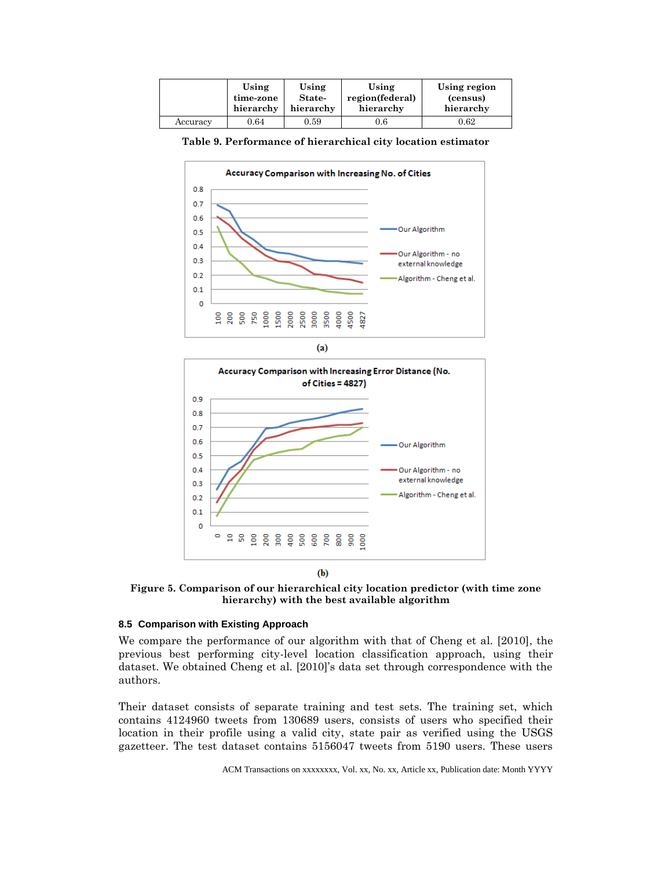|          | Using     | Using     | Using           | Using region |
|----------|-----------|-----------|-----------------|--------------|
|          | time-zone | State-    | region(federal) | (census)     |
|          | hierarchy | hierarchy | hierarchy       | hierarchy    |
| Accuracy | 0.64      | 0.59      | $0.6\,$         | 0.62         |

| Table 9. Performance of hierarchical city location estimator |
|--------------------------------------------------------------|
|--------------------------------------------------------------|







**Figure 5. Comparison of our hierarchical city location predictor (with time zone hierarchy) with the best available algorithm**

 $(b)$ 

#### **8.5 Comparison with Existing Approach**

We compare the performance of our algorithm with that of Cheng et al. [2010], the previous best performing city-level location classification approach, using their dataset. We obtained Cheng et al. [2010]'s data set through correspondence with the authors.

Their dataset consists of separate training and test sets. The training set, which contains 4124960 tweets from 130689 users, consists of users who specified their location in their profile using a valid city, state pair as verified using the USGS gazetteer. The test dataset contains 5156047 tweets from 5190 users. These users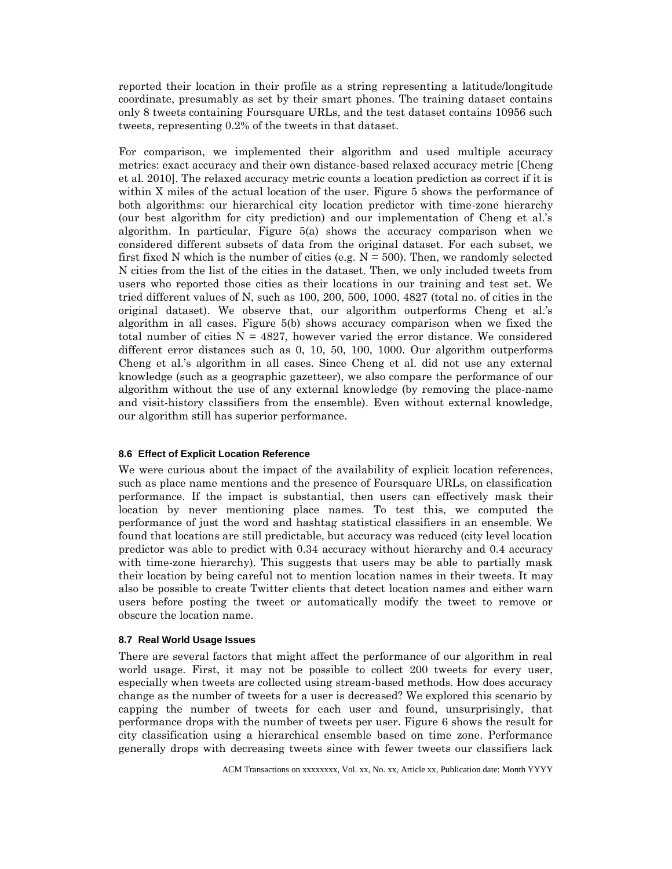reported their location in their profile as a string representing a latitude/longitude coordinate, presumably as set by their smart phones. The training dataset contains only 8 tweets containing Foursquare URLs, and the test dataset contains 10956 such tweets, representing 0.2% of the tweets in that dataset.

For comparison, we implemented their algorithm and used multiple accuracy metrics: exact accuracy and their own distance-based relaxed accuracy metric [Cheng et al. 2010]. The relaxed accuracy metric counts a location prediction as correct if it is within X miles of the actual location of the user. Figure 5 shows the performance of both algorithms: our hierarchical city location predictor with time-zone hierarchy (our best algorithm for city prediction) and our implementation of Cheng et al.'s algorithm. In particular, Figure 5(a) shows the accuracy comparison when we considered different subsets of data from the original dataset. For each subset, we first fixed N which is the number of cities (e.g.  $N = 500$ ). Then, we randomly selected N cities from the list of the cities in the dataset. Then, we only included tweets from users who reported those cities as their locations in our training and test set. We tried different values of N, such as 100, 200, 500, 1000, 4827 (total no. of cities in the original dataset). We observe that, our algorithm outperforms Cheng et al.'s algorithm in all cases. Figure 5(b) shows accuracy comparison when we fixed the total number of cities  $N = 4827$ , however varied the error distance. We considered different error distances such as 0, 10, 50, 100, 1000. Our algorithm outperforms Cheng et al.'s algorithm in all cases. Since Cheng et al. did not use any external knowledge (such as a geographic gazetteer), we also compare the performance of our algorithm without the use of any external knowledge (by removing the place-name and visit-history classifiers from the ensemble). Even without external knowledge, our algorithm still has superior performance.

### **8.6 Effect of Explicit Location Reference**

We were curious about the impact of the availability of explicit location references, such as place name mentions and the presence of Foursquare URLs, on classification performance. If the impact is substantial, then users can effectively mask their location by never mentioning place names. To test this, we computed the performance of just the word and hashtag statistical classifiers in an ensemble. We found that locations are still predictable, but accuracy was reduced (city level location predictor was able to predict with 0.34 accuracy without hierarchy and 0.4 accuracy with time-zone hierarchy). This suggests that users may be able to partially mask their location by being careful not to mention location names in their tweets. It may also be possible to create Twitter clients that detect location names and either warn users before posting the tweet or automatically modify the tweet to remove or obscure the location name.

#### **8.7 Real World Usage Issues**

There are several factors that might affect the performance of our algorithm in real world usage. First, it may not be possible to collect 200 tweets for every user, especially when tweets are collected using stream-based methods. How does accuracy change as the number of tweets for a user is decreased? We explored this scenario by capping the number of tweets for each user and found, unsurprisingly, that performance drops with the number of tweets per user. Figure 6 shows the result for city classification using a hierarchical ensemble based on time zone. Performance generally drops with decreasing tweets since with fewer tweets our classifiers lack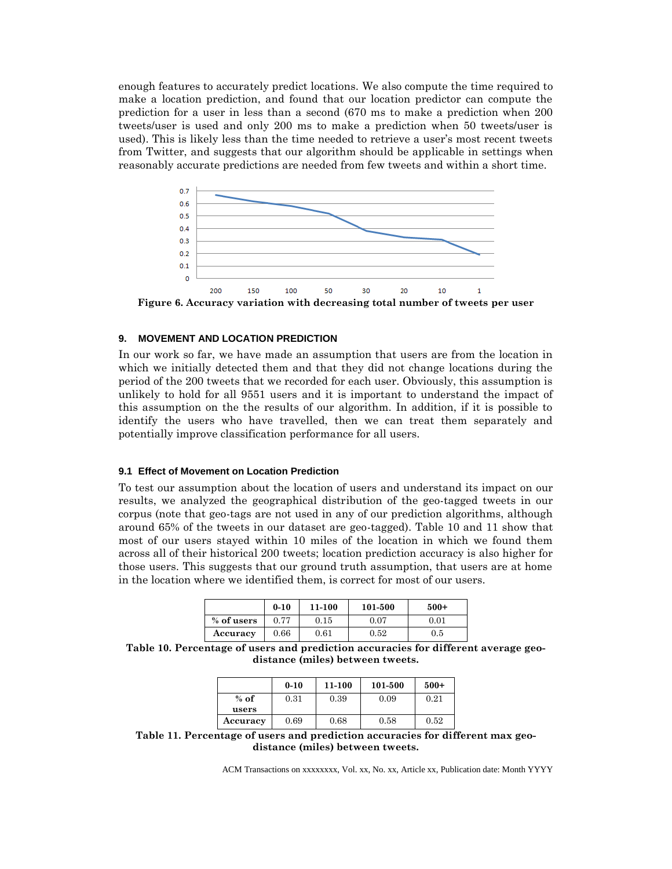enough features to accurately predict locations. We also compute the time required to make a location prediction, and found that our location predictor can compute the prediction for a user in less than a second (670 ms to make a prediction when 200 tweets/user is used and only 200 ms to make a prediction when 50 tweets/user is used). This is likely less than the time needed to retrieve a user's most recent tweets from Twitter, and suggests that our algorithm should be applicable in settings when reasonably accurate predictions are needed from few tweets and within a short time.



**Figure 6. Accuracy variation with decreasing total number of tweets per user**

#### **9. MOVEMENT AND LOCATION PREDICTION**

In our work so far, we have made an assumption that users are from the location in which we initially detected them and that they did not change locations during the period of the 200 tweets that we recorded for each user. Obviously, this assumption is unlikely to hold for all 9551 users and it is important to understand the impact of this assumption on the the results of our algorithm. In addition, if it is possible to identify the users who have travelled, then we can treat them separately and potentially improve classification performance for all users.

#### **9.1 Effect of Movement on Location Prediction**

To test our assumption about the location of users and understand its impact on our results, we analyzed the geographical distribution of the geo-tagged tweets in our corpus (note that geo-tags are not used in any of our prediction algorithms, although around 65% of the tweets in our dataset are geo-tagged). Table 10 and 11 show that most of our users stayed within 10 miles of the location in which we found them across all of their historical 200 tweets; location prediction accuracy is also higher for those users. This suggests that our ground truth assumption, that users are at home in the location where we identified them, is correct for most of our users.

|            | $0 - 10$ | 11-100 | 101-500    | $500+$  |
|------------|----------|--------|------------|---------|
| % of users | 0.77     | 0.15   | $0.07\,$   | 0.01    |
| Accuracy   | 0.66     | 0.61   | $\rm 0.52$ | $0.5\,$ |

**Table 10. Percentage of users and prediction accuracies for different average geodistance (miles) between tweets.**

|          | $0 - 10$ | 11-100 | 101-500 | $500+$ |
|----------|----------|--------|---------|--------|
| $%$ of   | 0.31     | 0.39   | 0.09    | 0.21   |
| users    |          |        |         |        |
| Accuracy | 0.69     | 0.68   | 0.58    | 0.52   |

**Table 11. Percentage of users and prediction accuracies for different max geodistance (miles) between tweets.**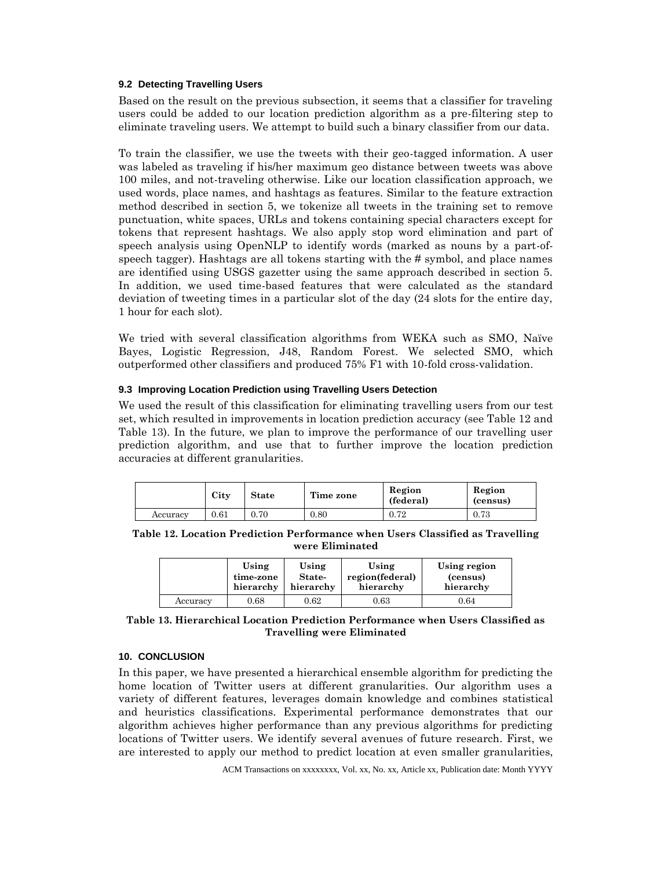### **9.2 Detecting Travelling Users**

Based on the result on the previous subsection, it seems that a classifier for traveling users could be added to our location prediction algorithm as a pre-filtering step to eliminate traveling users. We attempt to build such a binary classifier from our data.

To train the classifier, we use the tweets with their geo-tagged information. A user was labeled as traveling if his/her maximum geo distance between tweets was above 100 miles, and not-traveling otherwise. Like our location classification approach, we used words, place names, and hashtags as features. Similar to the feature extraction method described in section 5, we tokenize all tweets in the training set to remove punctuation, white spaces, URLs and tokens containing special characters except for tokens that represent hashtags. We also apply stop word elimination and part of speech analysis using OpenNLP to identify words (marked as nouns by a part-ofspeech tagger). Hashtags are all tokens starting with the # symbol, and place names are identified using USGS gazetter using the same approach described in section 5. In addition, we used time-based features that were calculated as the standard deviation of tweeting times in a particular slot of the day (24 slots for the entire day, 1 hour for each slot).

We tried with several classification algorithms from WEKA such as SMO, Naïve Bayes, Logistic Regression, J48, Random Forest. We selected SMO, which outperformed other classifiers and produced 75% F1 with 10-fold cross-validation.

### **9.3 Improving Location Prediction using Travelling Users Detection**

We used the result of this classification for eliminating travelling users from our test set, which resulted in improvements in location prediction accuracy (see Table 12 and Table 13). In the future, we plan to improve the performance of our travelling user prediction algorithm, and use that to further improve the location prediction accuracies at different granularities.

|          | City      | <b>State</b> | Time zone | Region<br>(federal) | Region<br>(census) |
|----------|-----------|--------------|-----------|---------------------|--------------------|
| Accuracy | $_{0.61}$ | 0.70         | 0.80      | ${0.72}$            | ${0.73}$           |

**Table 12. Location Prediction Performance when Users Classified as Travelling were Eliminated**

|          | Using     | Using     | Using           | Using region |
|----------|-----------|-----------|-----------------|--------------|
|          | time-zone | State-    | region(federal) | (census)     |
|          | hierarchy | hierarchy | hierarchy       | hierarchy    |
| Accuracy | 0.68      | $0.62\,$  | $\rm 0.63$      | 0.64         |

**Table 13. Hierarchical Location Prediction Performance when Users Classified as Travelling were Eliminated**

# **10. CONCLUSION**

In this paper, we have presented a hierarchical ensemble algorithm for predicting the home location of Twitter users at different granularities. Our algorithm uses a variety of different features, leverages domain knowledge and combines statistical and heuristics classifications. Experimental performance demonstrates that our algorithm achieves higher performance than any previous algorithms for predicting locations of Twitter users. We identify several avenues of future research. First, we are interested to apply our method to predict location at even smaller granularities,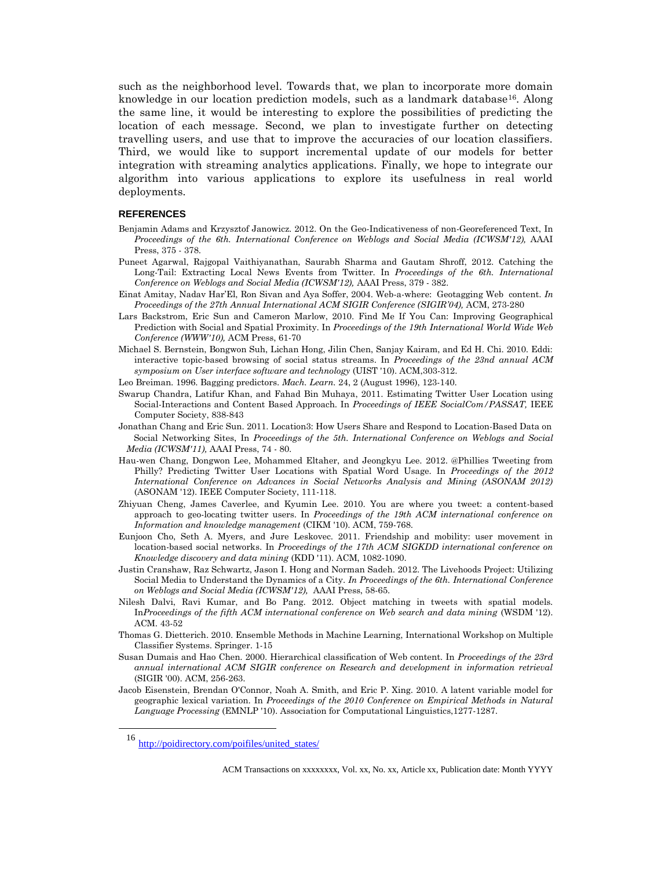such as the neighborhood level. Towards that, we plan to incorporate more domain knowledge in our location prediction models, such as a landmark database<sup>16</sup>. Along the same line, it would be interesting to explore the possibilities of predicting the location of each message. Second, we plan to investigate further on detecting travelling users, and use that to improve the accuracies of our location classifiers. Third, we would like to support incremental update of our models for better integration with streaming analytics applications. Finally, we hope to integrate our algorithm into various applications to explore its usefulness in real world deployments.

#### **REFERENCES**

- Benjamin Adams and Krzysztof Janowicz. 2012. On the Geo-Indicativeness of non-Georeferenced Text, In *Proceedings of the 6th. International Conference on Weblogs and Social Media (ICWSM'12),* AAAI Press, 375 - 378.
- Puneet Agarwal, Rajgopal Vaithiyanathan, Saurabh Sharma and Gautam Shroff, 2012. Catching the Long-Tail: Extracting Local News Events from Twitter. In *Proceedings of the 6th. International Conference on Weblogs and Social Media (ICWSM'12),* AAAI Press, 379 - 382.
- Einat Amitay, Nadav Har'El, Ron Sivan and Aya Soffer, 2004. Web-a-where: Geotagging Web content. *In Proceedings of the 27th Annual International ACM SIGIR Conference (SIGIR'04),* ACM, 273-280
- Lars Backstrom, Eric Sun and Cameron Marlow, 2010. Find Me If You Can: Improving Geographical Prediction with Social and Spatial Proximity. In *Proceedings of the 19th International World Wide Web Conference (WWW'10),* ACM Press, 61-70
- Michael S. Bernstein, Bongwon Suh, Lichan Hong, Jilin Chen, Sanjay Kairam, and Ed H. Chi. 2010. Eddi: interactive topic-based browsing of social status streams. In *Proceedings of the 23nd annual ACM symposium on User interface software and technology* (UIST '10). ACM,303-312.
- Leo Breiman. 1996. Bagging predictors. *Mach. Learn.* 24, 2 (August 1996), 123-140.
- Swarup Chandra, Latifur Khan, and Fahad Bin Muhaya, 2011. Estimating Twitter User Location using Social-Interactions and Content Based Approach. In *Proceedings of IEEE SocialCom/PASSAT,* IEEE Computer Society, 838-843
- Jonathan Chang and Eric Sun. 2011. Location3: How Users Share and Respond to Location-Based Data on Social Networking Sites, In *Proceedings of the 5th. International Conference on Weblogs and Social Media (ICWSM'11),* AAAI Press, 74 - 80.
- Hau-wen Chang, Dongwon Lee, Mohammed Eltaher, and Jeongkyu Lee. 2012. @Phillies Tweeting from Philly? Predicting Twitter User Locations with Spatial Word Usage. In *Proceedings of the 2012 International Conference on Advances in Social Networks Analysis and Mining (ASONAM 2012)* (ASONAM '12). IEEE Computer Society, 111-118.
- Zhiyuan Cheng, James Caverlee, and Kyumin Lee. 2010. You are where you tweet: a content-based approach to geo-locating twitter users. In *Proceedings of the 19th ACM international conference on Information and knowledge management* (CIKM '10). ACM, 759-768.
- Eunjoon Cho, Seth A. Myers, and Jure Leskovec. 2011. Friendship and mobility: user movement in location-based social networks. In *Proceedings of the 17th ACM SIGKDD international conference on Knowledge discovery and data mining* (KDD '11). ACM, 1082-1090.
- Justin Cranshaw, Raz Schwartz, Jason I. Hong and Norman Sadeh. 2012. The Livehoods Project: Utilizing Social Media to Understand the Dynamics of a City. *In Proceedings of the 6th. International Conference on Weblogs and Social Media (ICWSM'12),* AAAI Press, 58-65.
- Nilesh Dalvi, Ravi Kumar, and Bo Pang. 2012. Object matching in tweets with spatial models. In*Proceedings of the fifth ACM international conference on Web search and data mining* (WSDM '12). ACM. 43-52
- Thomas G. Dietterich. 2010. Ensemble Methods in Machine Learning, International Workshop on Multiple Classifier Systems. Springer. 1-15
- Susan Dumais and Hao Chen. 2000. Hierarchical classification of Web content. In *Proceedings of the 23rd annual international ACM SIGIR conference on Research and development in information retrieval* (SIGIR '00). ACM, 256-263.
- Jacob Eisenstein, Brendan O'Connor, Noah A. Smith, and Eric P. Xing. 2010. A latent variable model for geographic lexical variation. In *Proceedings of the 2010 Conference on Empirical Methods in Natural Language Processing* (EMNLP '10). Association for Computational Linguistics,1277-1287.

 $\overline{a}$ 

<sup>16</sup> [http://poidirectory.com/poifiles/united\\_states/](http://poidirectory.com/poifiles/united_states/)